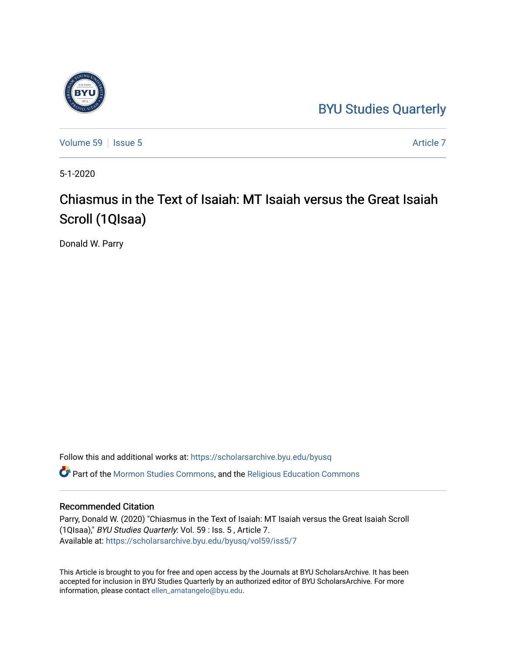## [BYU Studies Quarterly](https://scholarsarchive.byu.edu/byusq)



[Volume 59](https://scholarsarchive.byu.edu/byusq/vol59) | [Issue 5](https://scholarsarchive.byu.edu/byusq/vol59/iss5) Article 7

5-1-2020

# Chiasmus in the Text of Isaiah: MT Isaiah versus the Great Isaiah Scroll (1QIsaa)

Donald W. Parry

Follow this and additional works at: [https://scholarsarchive.byu.edu/byusq](https://scholarsarchive.byu.edu/byusq?utm_source=scholarsarchive.byu.edu%2Fbyusq%2Fvol59%2Fiss5%2F7&utm_medium=PDF&utm_campaign=PDFCoverPages)  Part of the [Mormon Studies Commons](http://network.bepress.com/hgg/discipline/1360?utm_source=scholarsarchive.byu.edu%2Fbyusq%2Fvol59%2Fiss5%2F7&utm_medium=PDF&utm_campaign=PDFCoverPages), and the [Religious Education Commons](http://network.bepress.com/hgg/discipline/1414?utm_source=scholarsarchive.byu.edu%2Fbyusq%2Fvol59%2Fiss5%2F7&utm_medium=PDF&utm_campaign=PDFCoverPages) 

## Recommended Citation

Parry, Donald W. (2020) "Chiasmus in the Text of Isaiah: MT Isaiah versus the Great Isaiah Scroll (1QIsaa)," BYU Studies Quarterly: Vol. 59 : Iss. 5 , Article 7. Available at: [https://scholarsarchive.byu.edu/byusq/vol59/iss5/7](https://scholarsarchive.byu.edu/byusq/vol59/iss5/7?utm_source=scholarsarchive.byu.edu%2Fbyusq%2Fvol59%2Fiss5%2F7&utm_medium=PDF&utm_campaign=PDFCoverPages)

This Article is brought to you for free and open access by the Journals at BYU ScholarsArchive. It has been accepted for inclusion in BYU Studies Quarterly by an authorized editor of BYU ScholarsArchive. For more information, please contact [ellen\\_amatangelo@byu.edu.](mailto:ellen_amatangelo@byu.edu)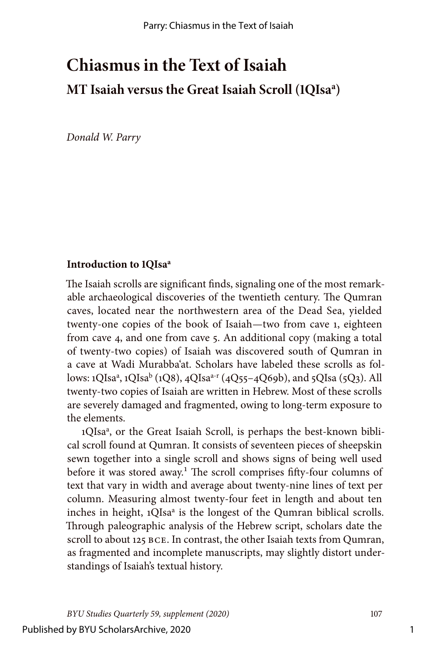# **Chiasmus in the Text of Isaiah MT Isaiah versus the Great Isaiah Scroll (1QIsaa )**

*Donald W. Parry*

#### Introduction to 1OIsa<sup>a</sup>

The Isaiah scrolls are significant finds, signaling one of the most remarkable archaeological discoveries of the twentieth century. The Qumran caves, located near the northwestern area of the Dead Sea, yielded twenty-one copies of the book of Isaiah—two from cave 1, eighteen from cave 4, and one from cave 5. An additional copy (making a total of twenty-two copies) of Isaiah was discovered south of Qumran in a cave at Wadi Murabba'at. Scholars have labeled these scrolls as follows: 1QIsa<sup>a</sup>, 1QIsa<sup>b</sup> (1Q8), 4QIsa<sup>a-r</sup> (4Q55–4Q69b), and 5QIsa (5Q3). All twenty-two copies of Isaiah are written in Hebrew. Most of these scrolls are severely damaged and fragmented, owing to long-term exposure to the elements.

1QIsa<sup>a</sup>, or the Great Isaiah Scroll, is perhaps the best-known biblical scroll found at Qumran. It consists of seventeen pieces of sheepskin sewn together into a single scroll and shows signs of being well used before it was stored away.<sup>1</sup> The scroll comprises fifty-four columns of text that vary in width and average about twenty-nine lines of text per column. Measuring almost twenty-four feet in length and about ten inches in height, 1QIsa<sup>a</sup> is the longest of the Qumran biblical scrolls. Through paleographic analysis of the Hebrew script, scholars date the scroll to about 125 BCE. In contrast, the other Isaiah texts from Qumran, as fragmented and incomplete manuscripts, may slightly distort understandings of Isaiah's textual history.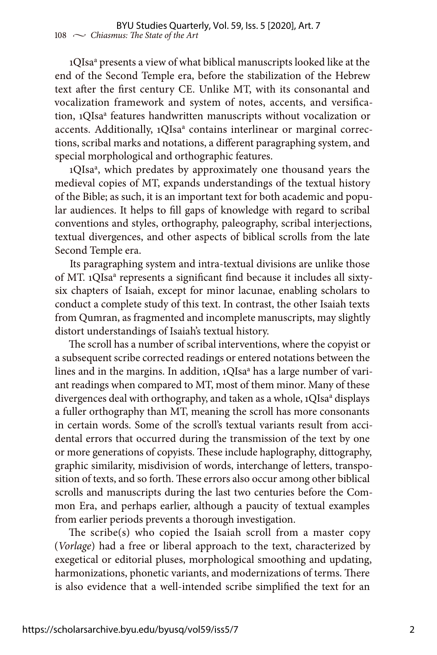1QIsa<sup>a</sup> presents a view of what biblical manuscripts looked like at the end of the Second Temple era, before the stabilization of the Hebrew text after the first century CE. Unlike MT, with its consonantal and vocalization framework and system of notes, accents, and versification, 1QIsa<sup>a</sup> features handwritten manuscripts without vocalization or accents. Additionally, 1QIsa<sup>a</sup> contains interlinear or marginal corrections, scribal marks and notations, a different paragraphing system, and special morphological and orthographic features.

1QIsa<sup>a</sup>, which predates by approximately one thousand years the medieval copies of MT, expands understandings of the textual history of the Bible; as such, it is an important text for both academic and popular audiences. It helps to fill gaps of knowledge with regard to scribal conventions and styles, orthography, paleography, scribal interjections, textual divergences, and other aspects of biblical scrolls from the late Second Temple era.

Its paragraphing system and intra-textual divisions are unlike those of MT. 1QIsa<sup>a</sup> represents a significant find because it includes all sixtysix chapters of Isaiah, except for minor lacunae, enabling scholars to conduct a complete study of this text. In contrast, the other Isaiah texts from Qumran, as fragmented and incomplete manuscripts, may slightly distort understandings of Isaiah's textual history.

The scroll has a number of scribal interventions, where the copyist or a subsequent scribe corrected readings or entered notations between the lines and in the margins. In addition, 1QIsa<sup>a</sup> has a large number of variant readings when compared to MT, most of them minor. Many of these divergences deal with orthography, and taken as a whole, 1QIsa<sup>a</sup> displays a fuller orthography than MT, meaning the scroll has more consonants in certain words. Some of the scroll's textual variants result from accidental errors that occurred during the transmission of the text by one or more generations of copyists. These include haplography, dittography, graphic similarity, misdivision of words, interchange of letters, transposition of texts, and so forth. These errors also occur among other biblical scrolls and manuscripts during the last two centuries before the Common Era, and perhaps earlier, although a paucity of textual examples from earlier periods prevents a thorough investigation.

The scribe(s) who copied the Isaiah scroll from a master copy (*Vorlage*) had a free or liberal approach to the text, characterized by exegetical or editorial pluses, morphological smoothing and updating, harmonizations, phonetic variants, and modernizations of terms. There is also evidence that a well-intended scribe simplified the text for an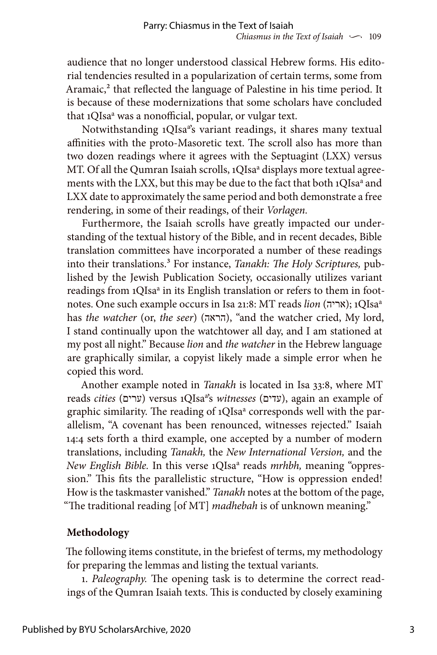audience that no longer understood classical Hebrew forms. His editorial tendencies resulted in a popularization of certain terms, some from Aramaic,<sup>2</sup> that reflected the language of Palestine in his time period. It is because of these modernizations that some scholars have concluded that 1QIsa<sup>a</sup> was a nonofficial, popular, or vulgar text.

Notwithstanding 1QIsa<sup>a</sup>'s variant readings, it shares many textual affinities with the proto-Masoretic text. The scroll also has more than two dozen readings where it agrees with the Septuagint (LXX) versus MT. Of all the Qumran Isaiah scrolls, 1QIsa<sup>a</sup> displays more textual agreements with the LXX, but this may be due to the fact that both 1QIsa<sup>a</sup> and LXX date to approximately the same period and both demonstrate a free rendering, in some of their readings, of their *Vorlagen.*

Furthermore, the Isaiah scrolls have greatly impacted our understanding of the textual history of the Bible, and in recent decades, Bible translation committees have incorporated a number of these readings into their translations.<sup>3</sup> For instance, *Tanakh: The Holy Scriptures*, published by the Jewish Publication Society, occasionally utilizes variant readings from 1QIsa<sup>a</sup> in its English translation or refers to them in footnotes. One such example occurs in Isa 21:8: MT reads *lion* (אריה); 1QIsa<sup>a</sup> has *the watcher* (or, *the seer*) (הראה), "and the watcher cried, My lord, I stand continually upon the watchtower all day, and I am stationed at my post all night." Because *lion* and *the watcher* in the Hebrew language are graphically similar, a copyist likely made a simple error when he copied this word.

Another example noted in *Tanakh* is located in Isa 33:8, where MT reads *cities* (ערים) versus 1QIsa<sup>a</sup>'s *witnesses* (עדים), again an example of graphic similarity. The reading of 1QIsa<sup>a</sup> corresponds well with the parallelism, "A covenant has been renounced, witnesses rejected." Isaiah 14:4 sets forth a third example, one accepted by a number of modern translations, including *Tanakh,* the *New International Version,* and the New English Bible. In this verse 1QIsa<sup>a</sup> reads *mrhbh*, meaning "oppression." This fits the parallelistic structure, "How is oppression ended! How is the taskmaster vanished." *Tanakh* notes at the bottom of the page, "The traditional reading [of MT] *madhebah* is of unknown meaning."

## **Methodology**

The following items constitute, in the briefest of terms, my methodology for preparing the lemmas and listing the textual variants.

1. *Paleography.* The opening task is to determine the correct readings of the Qumran Isaiah texts. This is conducted by closely examining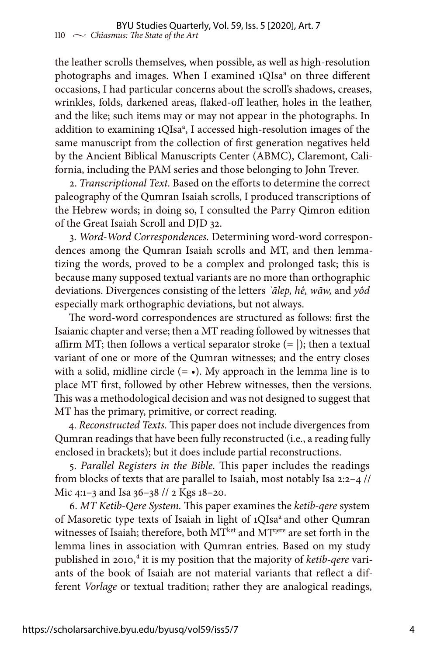the leather scrolls themselves, when possible, as well as high-resolution photographs and images. When I examined 1QIsa<sup>a</sup> on three different occasions, I had particular concerns about the scroll's shadows, creases, wrinkles, folds, darkened areas, flaked-off leather, holes in the leather, and the like; such items may or may not appear in the photographs. In addition to examining 1QIsa<sup>a</sup>, I accessed high-resolution images of the same manuscript from the collection of first generation negatives held by the Ancient Biblical Manuscripts Center (ABMC), Claremont, California, including the PAM series and those belonging to John Trever.

2. *Transcriptional Text.* Based on the efforts to determine the correct paleography of the Qumran Isaiah scrolls, I produced transcriptions of the Hebrew words; in doing so, I consulted the Parry Qimron edition of the Great Isaiah Scroll and DJD 32.

3. *Word-Word Correspondences.* Determining word-word correspondences among the Qumran Isaiah scrolls and MT, and then lemmatizing the words, proved to be a complex and prolonged task; this is because many supposed textual variants are no more than orthographic deviations. Divergences consisting of the letters *ʾālep, hê, wāw,* and *yôd* especially mark orthographic deviations, but not always.

The word-word correspondences are structured as follows: first the Isaianic chapter and verse; then a MT reading followed by witnesses that affirm MT; then follows a vertical separator stroke  $(= |)$ ; then a textual variant of one or more of the Qumran witnesses; and the entry closes with a solid, midline circle  $(= \bullet)$ . My approach in the lemma line is to place MT first, followed by other Hebrew witnesses, then the versions. This was a methodological decision and was not designed to suggest that MT has the primary, primitive, or correct reading.

4. *Reconstructed Texts.* This paper does not include divergences from Qumran readings that have been fully reconstructed (i.e., a reading fully enclosed in brackets); but it does include partial reconstructions.

5. *Parallel Registers in the Bible.* This paper includes the readings from blocks of texts that are parallel to Isaiah, most notably Isa 2:2–4 // Mic 4:1–3 and Isa 36–38 // 2 Kgs 18–20.

6. *MT Ketib-Qere System.* This paper examines the *ketib-qere* system of Masoretic type texts of Isaiah in light of 1QIsa<sup>a</sup> and other Qumran witnesses of Isaiah; therefore, both MTket and MTqere are set forth in the lemma lines in association with Qumran entries. Based on my study published in 2010,<sup>4</sup> it is my position that the majority of *ketib-qere* variants of the book of Isaiah are not material variants that reflect a different *Vorlage* or textual tradition; rather they are analogical readings,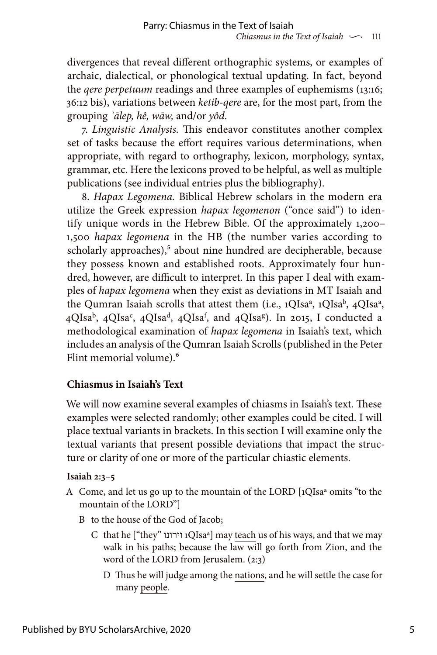divergences that reveal different orthographic systems, or examples of archaic, dialectical, or phonological textual updating. In fact, beyond the *qere perpetuum* readings and three examples of euphemisms (13:16; 36:12 bis), variations between *ketib-qere* are, for the most part, from the grouping *ʾālep, hê, wāw,* and/or *yôd*.

7. *Linguistic Analysis.* This endeavor constitutes another complex set of tasks because the effort requires various determinations, when appropriate, with regard to orthography, lexicon, morphology, syntax, grammar, etc. Here the lexicons proved to be helpful, as well as multiple publications (see individual entries plus the bibliography).

8. *Hapax Legomena.* Biblical Hebrew scholars in the modern era utilize the Greek expression *hapax legomenon* ("once said") to identify unique words in the Hebrew Bible. Of the approximately 1,200– 1,500 *hapax legomena* in the HB (the number varies according to scholarly approaches),<sup>5</sup> about nine hundred are decipherable, because they possess known and established roots. Approximately four hundred, however, are difficult to interpret. In this paper I deal with examples of *hapax legomena* when they exist as deviations in MT Isaiah and the Qumran Isaiah scrolls that attest them (i.e., 1QIsa<sup>a</sup>, 1QIsa<sup>b</sup>, 4QIsa<sup>a</sup>, 4QIsa<sup>b</sup>, 4QIsa<sup>c</sup>, 4QIsa<sup>d</sup>, 4QIsa<sup>f</sup>, and 4QIsa<sup>g</sup>). In 2015, I conducted a methodological examination of *hapax legomena* in Isaiah's text, which includes an analysis of the Qumran Isaiah Scrolls (published in the Peter Flint memorial volume).<sup>6</sup>

## **Chiasmus in Isaiah's Text**

We will now examine several examples of chiasms in Isaiah's text. These examples were selected randomly; other examples could be cited. I will place textual variants in brackets. In this section I will examine only the textual variants that present possible deviations that impact the structure or clarity of one or more of the particular chiastic elements.

#### **Isaiah 2:3–5**

- A Come, and let us go up to the mountain of the LORD [1QIsaª omits "to the mountain of the LORD"]
	- B to the house of the God of Jacob;
		- C that he ["they" וירונו 1QIsaª] may teach us of his ways, and that we may walk in his paths; because the law will go forth from Zion, and the word of the LORD from Jerusalem. (2:3)
			- D Thus he will judge among the nations, and he will settle the case for many people.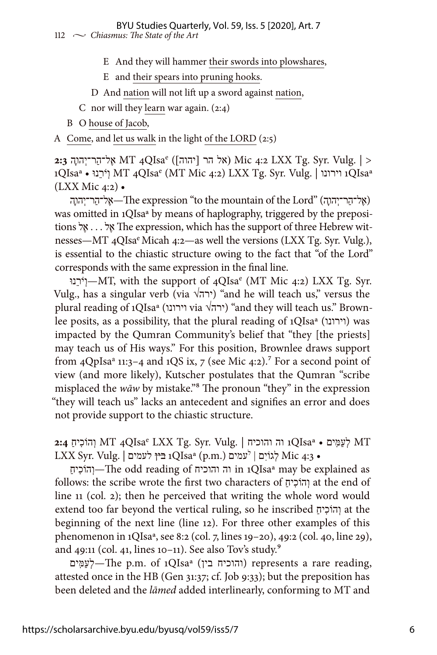#### 112  $\sim$  *Chiasmus: The State of the Art* BYU Studies Quarterly, Vol. 59, Iss. 5 [2020], Art. 7

- E And they will hammer their swords into plowshares,
- E and their spears into pruning hooks.
- D And nation will not lift up a sword against nation,
- C nor will they learn war again. (2:4)
- B O house of Jacob,

A Come, and let us walk in the light of the LORD (2:5)

QIsae4 MT אֶל־הַר־יְהוׇה **2:3** ([יהוה [הר אל (Mic 4:2 LXX Tg. Syr. Vulg. | > וירונו | MT 4QIsa<sup>e</sup> (MT Mic 4:2) LXX Tg. Syr. Vulg. | וירונו 1QIsa<sup>a</sup> (LXX Mic 4:2) •

(אֱל־הַר־יְהוּהָ) "Lord" (אֱל־הַר־יְהוּהָה) "Lord" (אֱל־הַר־יְהוּהָה was omitted in 1QIsaª by means of haplography, triggered by the prepositions לֶא . . . לֶא The expression, which has the support of three Hebrew witnesses—MT 4QIsa<sup>e</sup> Micah 4:2—as well the versions (LXX Tg. Syr. Vulg.), is essential to the chiastic structure owing to the fact that "of the Lord" corresponds with the same expression in the final line.

נוֵּרֹיְו—MT, with the support of 4QIsae (MT Mic 4:2) LXX Tg. Syr. Vulg., has a singular verb (via  $\sqrt{r}$ ) "and he will teach us," versus the plural reading of 1QIsaª (וירונו via √ירה" (and they will teach us." Brownlee posits, as a possibility, that the plural reading of 1QIsa<sup>a</sup> (וירונו) was impacted by the Qumran Community's belief that "they [the priests] may teach us of His ways." For this position, Brownlee draws support from 4QpIsa<sup>a</sup> 11:3-4 and 1QS ix, 7 (see Mic 4:2).<sup>7</sup> For a second point of view (and more likely), Kutscher postulates that the Qumran "scribe misplaced the *wāw* by mistake."8 The pronoun "they" in the expression "they will teach us" lacks an antecedent and signifies an error and does not provide support to the chiastic structure.

QIsae4 MT וְהוֹכִיחַ **2:4** MT לְעַמִּים • QIsaª1 וה והוכיח | .Vulg .Syr .Tg LXX LXX Syr. Vulg. | לעמים בין 1QIsaª (p.m.) לעמים • 4:3 Mic לְגוֹיִם |

ַיחִכֹהוְו—The odd reading of והוכיח וה in 1QIsaª may be explained as follows: the scribe wrote the first two characters of ַיחִכֹהוְו at the end of line 11 (col. 2); then he perceived that writing the whole word would extend too far beyond the vertical ruling, so he inscribed ַיחִכֹהוְו at the beginning of the next line (line 12). For three other examples of this phenomenon in 1QIsaª, see 8:2 (col. 7, lines 19–20), 49:2 (col. 40, line 29), and 49:11 (col. 41, lines 10-11). See also Tov's study.<sup>9</sup>

יִעְמֵים) represents a rare reading, (והוכיח בין) (represents a rare reading, attested once in the HB (Gen 31:37; cf. Job 9:33); but the preposition has been deleted and the *lāmed* added interlinearly, conforming to MT and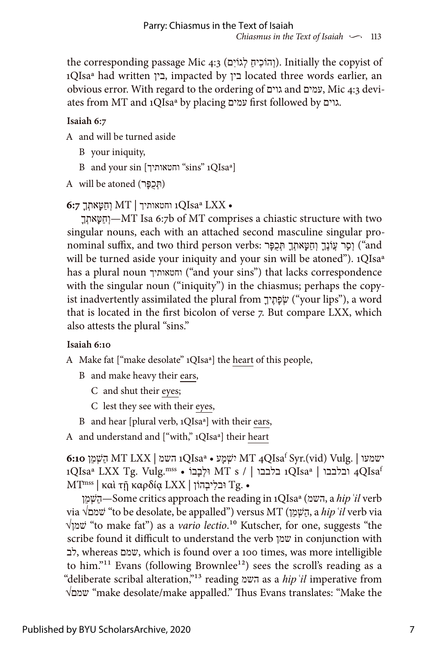the corresponding passage Mic 4:3 (וְהוֹכִיחַ לְגוֹיִם). Initially the copyist of 1QIsaª had written בין, impacted by בין located three words earlier, an obvious error. With regard to the ordering of גוים and עמים, Mic 4:3 deviates from MT and 1QIsaª by placing עמים first followed by גוים.

## **Isaiah 6:7**

- A and will be turned aside
	- B your iniquity,
	- B and your sin [וחטאותיך] sins" 1QIsa<sup>a</sup>]
- $A$  will be atoned (תְּכֻפָּר)

• LXX QIsaª1 וחטאותיך | MT וְחַטָּאתְךָ **6:7**

ָךְאתָטַּחְו—MT Isa 6:7b of MT comprises a chiastic structure with two singular nouns, each with an attached second masculine singular pronominal suffix, and two third person verbs: רָפֶר יִחְטַּאתְךָ תִּכְפָּר ("and will be turned aside your iniquity and your sin will be atoned"). 1QIsa<sup>a</sup> has a plural noun וחטאותיך") and your sins") that lacks correspondence with the singular noun ("iniquity") in the chiasmus; perhaps the copyist inadvertently assimilated the plural from ָיךֶתָפְשׂ") your lips"), a word that is located in the first bicolon of verse 7. But compare LXX, which also attests the plural "sins."

## **Isaiah 6:10**

- A Make fat ["make desolate" 1QIsaª] the heart of this people,
	- B and make heavy their ears,
		- C and shut their eyes;
		- C lest they see with their eyes,
	- B and hear [plural verb, 1QIsaª] with their ears,
- A and understand and ["with," 1QIsaª] their heart

QIsaf4 MT ִישְׁמָע • QIsaª1 השמ | LXX MT הַשְׁמֵן **6:10** Syr.(vid) Vulg. | ישמעו 1QIsaª LXX Tg. Vulg.mss • וְלִבְנוּ MT s / | בלבבו 1QIsaª | נבלבבו 4QIsa  $MT<sup>miss</sup>$  | καὶ τῇ καρδία LXX | וֹבלִיבָהוֹן Tg. •

ןֵמְשַׁה—Some critics approach the reading in 1QIsaª (השמ, a *hipʿil* verb via √שׁמם" to be desolate, be appalled") versus MT (ןֵמְשַׁה, a *hipʿil* verb via √שׁמן" to make fat") as a *vario lectio*.10 Kutscher, for one, suggests "the scribe found it difficult to understand the verb שמן in conjunction with לב, whereas שמם, which is found over a 100 times, was more intelligible to him."<sup>11</sup> Evans (following Brownlee<sup>12</sup>) sees the scroll's reading as a "deliberate scribal alteration,"13 reading השמ as a *hipʿil* imperative from √שמם" make desolate/make appalled." Thus Evans translates: "Make the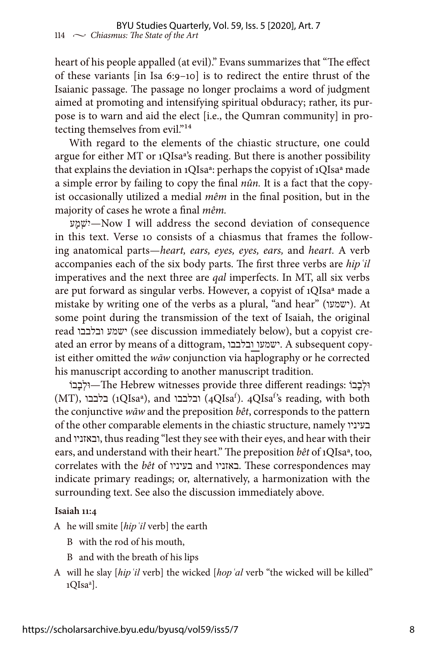heart of his people appalled (at evil)." Evans summarizes that "The effect of these variants [in Isa 6:9–10] is to redirect the entire thrust of the Isaianic passage. The passage no longer proclaims a word of judgment aimed at promoting and intensifying spiritual obduracy; rather, its purpose is to warn and aid the elect [i.e., the Qumran community] in protecting themselves from evil."<sup>14</sup>

With regard to the elements of the chiastic structure, one could argue for either MT or 1QIsaª's reading. But there is another possibility that explains the deviation in 1QIsaª: perhaps the copyist of 1QIsaª made a simple error by failing to copy the final *nûn.* It is a fact that the copyist occasionally utilized a medial *mêm* in the final position, but in the majority of cases he wrote a final *mêm.*

עָמְישִׁ—Now I will address the second deviation of consequence in this text. Verse 10 consists of a chiasmus that frames the following anatomical parts—*heart, ears, eyes, eyes, ears,* and *heart.* A verb accompanies each of the six body parts. The first three verbs are *hipʿil* imperatives and the next three are *qal* imperfects. In MT, all six verbs are put forward as singular verbs. However, a copyist of 1QIsaª made a mistake by writing one of the verbs as a plural, "and hear" (ישמעו(. At some point during the transmission of the text of Isaiah, the original read ובלבבו ישמע) see discussion immediately below), but a copyist created an error by means of a dittogram, ובלבבו ישמעו. A subsequent copyist either omitted the *wāw* conjunction via haplography or he corrected his manuscript according to another manuscript tradition.

ֹבוָבְולּ—The Hebrew witnesses provide three different readings: ֹבוָבְולּ (MT), ובלבבו), and ובלבבו) (4QIsa<sup>f</sup>). 4QIsa<sup>f</sup>'s reading, with both the conjunctive *wāw* and the preposition *bêt*, corresponds to the pattern of the other comparable elements in the chiastic structure, namely בעיניו and ובאזניו, thus reading "lest they see with their eyes, and hear with their ears, and understand with their heart." The preposition *bêt* of 1QIsaª, too, correlates with the *bêt* of בעיניו and באזניו. These correspondences may indicate primary readings; or, alternatively, a harmonization with the surrounding text. See also the discussion immediately above.

#### **Isaiah 11:4**

- A he will smite [*hipʿil* verb] the earth
	- B with the rod of his mouth,
	- B and with the breath of his lips
- A will he slay [*hipʿil* verb] the wicked [*hopʿal* verb "the wicked will be killed" 1QIsa<sup>a</sup>].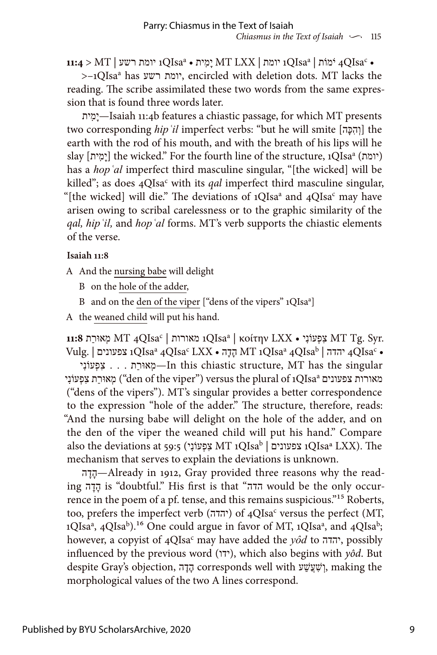$\rm 11:4 \ge MT \mid$ עניומת יומת י $\rm H\, LXX \mid \rm M\,$ יִמְית •  $\rm QIsa^a$  יומת רשע  $\rm qOIsa^c$  •

>–1QIsaa has רשע יומת, encircled with deletion dots. MT lacks the reading. The scribe assimilated these two words from the same expression that is found three words later.

יתִמָי—Isaiah 11:4b features a chiastic passage, for which MT presents two corresponding *hip* 'il imperfect verbs: "but he will smite [וְהִכָּה] the earth with the rod of his mouth, and with the breath of his lips will he slay [יִמְית;] the wicked." For the fourth line of the structure, 1QIsa<sup>a</sup> (יומת) has a *hopʿal* imperfect third masculine singular, "[the wicked] will be killed"; as does 4QIsa<sup>c</sup> with its *qal* imperfect third masculine singular, "[the wicked] will die." The deviations of  $1QIsa^a$  and  $4QIsa^c$  may have arisen owing to scribal carelessness or to the graphic similarity of the *qal, hipʿil,* and *hopʿal* forms. MT's verb supports the chiastic elements of the verse.

#### **Isaiah 11:8**

- A And the nursing babe will delight
	- B on the hole of the adder,
	- B and on the den of the viper ["dens of the vipers" 1QIsa<sup>a</sup>]
- A the weaned child will put his hand.

נאורות | MT 4QIsa<sup>c</sup> | מאורות 1QIsa<sup>a</sup> | κοίτην LXX • מָאוּרַת MT Tg. Syr.  $\text{Vulg.} \mid \text{z}$  יהדה 4QIsa $^{\text{a}}$  4QIsa $^{\text{c}}$  LXX הָדָה •  $\text{MT}$  הָעָה 4QIsa $^{\text{c}}$  +  $\text{q}$ 

s . . . מְאוּרַת –In this chiastic structure, MT has the singular מאוּרַת צִפְעוֹנִי ("den of the viper") versus the plural of 1QIsa<sup>a</sup> מאוּרַת מ ("dens of the vipers"). MT's singular provides a better correspondence to the expression "hole of the adder." The structure, therefore, reads: "And the nursing babe will delight on the hole of the adder, and on the den of the viper the weaned child will put his hand." Compare also the deviations at 59:5 (יִפְעוֹנִי MT 1QIsa<sup>b</sup> | צפעונים 1QIsaª LXX). The mechanism that serves to explain the deviations is unknown.

דהׇהׇ—Already in 1912, Gray provided three reasons why the reading הַדָּה is "doubtful." His first is that "הדה would be the only occurrence in the poem of a pf. tense, and this remains suspicious."15 Roberts, too, prefers the imperfect verb (יהדה) of 4QIsa<sup>c</sup> versus the perfect (MT, 1QIsa<sup>a</sup>, 4QIsa<sup>b</sup>).<sup>16</sup> One could argue in favor of MT, 1QIsa<sup>a</sup>, and 4QIsa<sup>b</sup>; however, a copyist of 4QIsac may have added the *yôd* to יהדה, possibly influenced by the previous word (ידו), which also begins with *yôd*. But despite Gray's objection, הָדָה corresponds well with עָשׁעֲשׁעָן, making the morphological values of the two A lines correspond.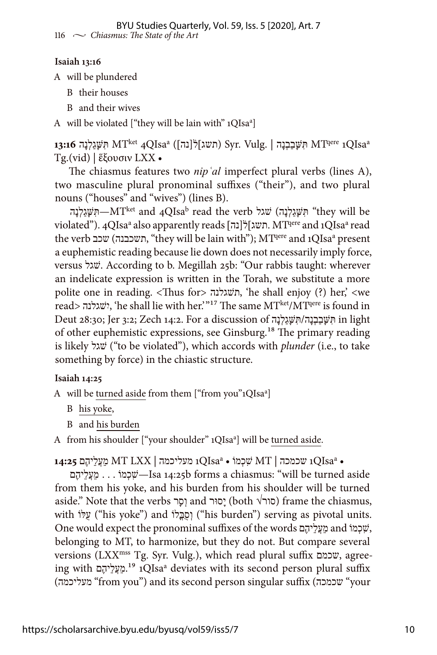#### **Isaiah 13:16**

A will be plundered

B their houses

B and their wives

A will be violated ["they will be lain with" 1QIsa<sup>a</sup>]

1**3:16** תִּשֶּׁגַלְנָה MT<sup>ket</sup> 4QIsaª (תשג]לֹ(נה]) Syr. Vulg. | תִּשֶּׁגַלְנָה MT<sup>qere</sup> ו Tg.(vid) | ἕξουσιν LXX •

The chiasmus features two *nipʿal* imperfect plural verbs (lines A), two masculine plural pronominal suffixes ("their"), and two plural nouns ("houses" and "wives") (lines B).

תִּשָּׁגַלְנָה)—MT<sup>ket</sup> and 4QIsa<sup>b</sup> read the verb תִּשָּׁגַלְנָה) "they will be violated"). 4QIsaª also apparently reads [תשג] ל[נה] תשג. MTqere and 1QIsaª read the verb תשכבנה) ישכב, "they will be lain with"); MTqere and 1QIsa<sup>a</sup> present a euphemistic reading because lie down does not necessarily imply force, versus שׁגל. According to b. Megillah 25b: "Our rabbis taught: wherever an indelicate expression is written in the Torah, we substitute a more polite one in reading. <Thus for> תשׁגלנה,' he shall enjoy (?) her,' <we read> ישׁגלנהִ,' he shall lie with her.'"17 The same MTket/MTqere is found in Deut 28:30; Jer 3:2; Zech 14:2. For a discussion of תִּשָּׁבַבְנָה/תִּשֵׁגַלְנָה in light of other euphemistic expressions, see Ginsburg.18 The primary reading is likely שׁגל") to be violated"), which accords with *plunder* (i.e., to take something by force) in the chiastic structure.

#### **Isaiah 14:25**

A will be turned aside from them ["from you"1QIsa<sup>a</sup>]

B his yoke,

B and his burden

A from his shoulder ["your shoulder" 1QIsa<sup>a</sup>] will be turned aside.

QIsaa1 מעליכמה | LXX MT מֵעֲלֵיהֶם **14:25** QIsaa1 שכמכה | MT שִׁכְמוֹ • •

םֶיהֵלֲעֵמ . . . מוְֹכִשׁ—Isa 14:25b forms a chiasmus: "will be turned aside from them his yoke, and his burden from his shoulder will be turned aside." Note that the verbs רָסוּר and סוול (both √סור) frame the chiasmus, with ("his yoke") and ("his burden") serving as pivotal units. One would expect the pronominal suffixes of the words םֶיהֵלֲעֵמ and מוְֹכִשׁ, belonging to MT, to harmonize, but they do not. But compare several versions (LXXmss Tg. Syr. Vulg.), which read plural suffix שכמם, agreeing with םֶיהֵלֲעֵמ.19 1QIsaa deviates with its second person plural suffix (מעליכמה" from you") and its second person singular suffix (שכמכה" your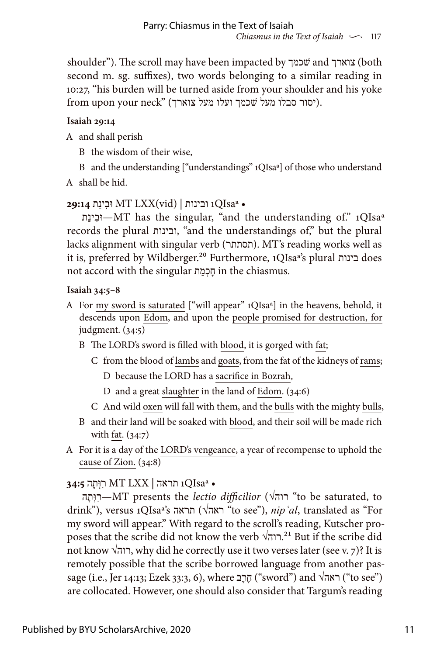shoulder"). The scroll may have been impacted by שׁכמך and צוארך) both second m. sg. suffixes), two words belonging to a similar reading in 10:27, "his burden will be turned aside from your shoulder and his yoke from upon your neck" (יסור סבלו מעל שכמך ועלו מעל צוארך).

## **Isaiah 29:14**

A and shall perish

- B the wisdom of their wise,
- B and the understanding ["understandings" 1QIsaª] of those who understand
- A shall be hid.

## • QIsaª1 ובינות | (vid(LXX MT וּבִינַת **29:14**

תַינִוּב—MT has the singular, "and the understanding of." 1QIsaª records the plural ובינות," and the understandings of," but the plural lacks alignment with singular verb (תסתתר). MT's reading works well as it is, preferred by Wildberger.20 Furthermore, 1QIsaª's plural בינות does not accord with the singular תַמְכָח in the chiasmus.

## **Isaiah 34:5–8**

- A For my sword is saturated ["will appear" 1QIsaª] in the heavens, behold, it descends upon Edom, and upon the people promised for destruction, for judgment. (34:5)
	- B The LORD's sword is filled with blood, it is gorged with fat;
		- C from the blood of lambs and goats, from the fat of the kidneys of rams; D because the LORD has a sacrifice in Bozrah,
			- D and a great slaughter in the land of Edom. (34:6)
		- C And wild oxen will fall with them, and the bulls with the mighty bulls,
	- B and their land will be soaked with blood, and their soil will be made rich with fat. (34:7)
- A For it is a day of the LORD's vengeance, a year of recompense to uphold the cause of Zion. (34:8)

## • QIsaª1 תראה | LXX MT רִוְּתָה **34:5**

הָתְוִּר—MT presents the *lectio difficilior* (√רוה" to be saturated, to drink"), versus 1QIsaª's תראה√) ראה" to see"), *nipʿal*, translated as "For my sword will appear." With regard to the scroll's reading, Kutscher proposes that the scribe did not know the verb  $\sqrt{2}$ רוה.<sup>21</sup> But if the scribe did not know √רוה, why did he correctly use it two verses later (see v. 7)? It is remotely possible that the scribe borrowed language from another passage (i.e., Jer 14:13; Ezek 33:3, 6), where ראה\ (sword") and  $\sqrt{2}$  (sword")  $\sqrt{2}$  (see") are collocated. However, one should also consider that Targum's reading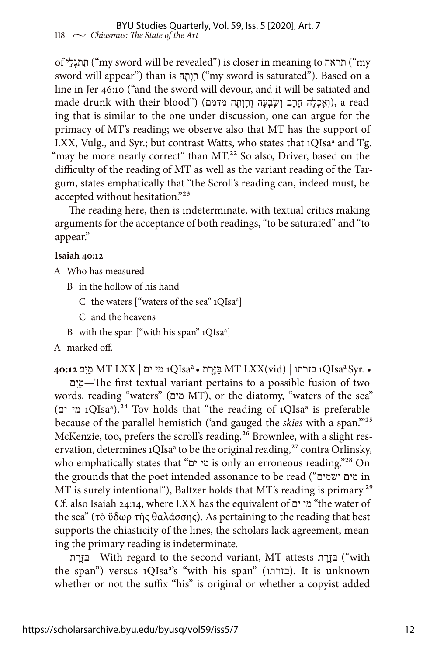of יֵלְתגִת") my sword will be revealed") is closer in meaning to תראה") my sword will appear") than is רְוָתֲה ("my sword is saturated"). Based on a line in Jer 46:10 ("and the sword will devour, and it will be satiated and made drunk with their blood") (הִעֲכְלָה חֲרֵב וְשָׂבְעָה וְרַוְתָה מִדּמם), a reading that is similar to the one under discussion, one can argue for the primacy of MT's reading; we observe also that MT has the support of LXX, Vulg., and Syr.; but contrast Watts, who states that 1QIsaª and Tg. "may be more nearly correct" than MT.<sup>22</sup> So also, Driver, based on the difficulty of the reading of MT as well as the variant reading of the Targum, states emphatically that "the Scroll's reading can, indeed must, be accepted without hesitation."23

The reading here, then is indeterminate, with textual critics making arguments for the acceptance of both readings, "to be saturated" and "to appear."

#### **Isaiah 40:12**

- A Who has measured
	- B in the hollow of his hand
		- C the waters ["waters of the sea" 1QIsa<sup>a</sup>]
		- C and the heavens
	- B with the span ["with his span" 1QIsa<sup>a</sup>]
- A marked off.

• .Syr QIsaa1 בזרתו | (vid(LXX MT ַבּ ֶזּ ֶרת • QIsaa1 מי ים | LXX MT מַיִם **40:12**

םִיַמ—The first textual variant pertains to a possible fusion of two words, reading "waters" (מים MT), or the diatomy, "waters of the sea" QIsaa1 מי ים) ).24 Tov holds that "the reading of 1QIsaa is preferable because of the parallel hemistich ('and gauged the *skies* with a span.'"25 McKenzie, too, prefers the scroll's reading.<sup>26</sup> Brownlee, with a slight reservation, determines 1QIsa<sup>a</sup> to be the original reading,<sup>27</sup> contra Orlinsky, who emphatically states that "מי ים is only an erroneous reading."<sup>28</sup> On the grounds that the poet intended assonance to be read ("ושמים מים in MT is surely intentional"), Baltzer holds that MT's reading is primary.<sup>29</sup> Cf. also Isaiah 24:14, where LXX has the equivalent of ים מי" the water of the sea" (τὸ ὕδωρ τῆς θαλάσσης). As pertaining to the reading that best supports the chiasticity of the lines, the scholars lack agreement, meaning the primary reading is indeterminate.

ת ֶרֶזַּבּ—With regard to the second variant, MT attests ת ֶרֶזַּבּ") with the span") versus 1QIsa<sup>a</sup>'s "with his span" (בזרתו). It is unknown whether or not the suffix "his" is original or whether a copyist added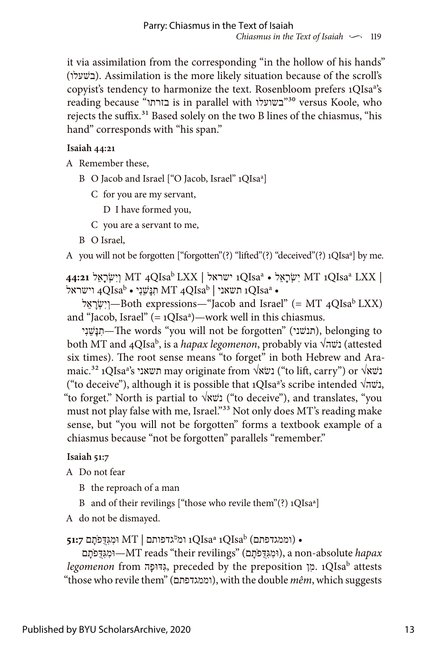it via assimilation from the corresponding "in the hollow of his hands" (שעלוׁב(. Assimilation is the more likely situation because of the scroll's copyist's tendency to harmonize the text. Rosenbloom prefers 1QIsa<sup>a'</sup>s reading because "בזרתו is in parallel with בשועלו"30 versus Koole, who rejects the suffix.<sup>31</sup> Based solely on the two B lines of the chiasmus, "his hand" corresponds with "his span."

### **Isaiah 44:21**

A Remember these,

- B O Jacob and Israel ["O Jacob, Israel" 1QIsa<sup>a</sup>]
	- C for you are my servant,

D I have formed you,

- C you are a servant to me,
- B O Israel,

A you will not be forgotten ["forgotten"(?) "lifted"(?) "deceived"(?) 1QIsa<sup>a</sup>] by me.

QIsaa1 ישראל | LXX QIsab4 MT וְיִשְׂרָאֵל **44:21** QIsaa1 MT יִשְׂרָאֵל • LXX | וישראל  $\rm qQIsa^b$  תְּנָּשֵׁנִי •  $\rm M T$  תִּנְשֵׁנִי  $\rm qQIsa^b$  וישראל ו

לֵראְׇשִׂיְו—Both expressions—"Jacob and Israel" (= MT 4QIsab LXX) and "Jacob, Israel" (= 1QIsaª)—work well in this chiasmus.

יִנְשֵׁנִי,—The words "you will not be forgotten" (תנשׁני), belonging to both MT and 4QIsab, is a *hapax legomenon*, probably via √שהׁנ) attested six times). The root sense means "to forget" in both Hebrew and Aramaic.<sup>32</sup> 1QIsaª's נשא√ may originate from √נשא√ ("to lift, carry") or נ ("to deceive"), although it is possible that 1QIsaª's scribe intended √נשה√. "to forget." North is partial to  $\sqrt{x}$ נשא $($ "to deceive"), and translates, "you must not play false with me, Israel."<sup>33</sup> Not only does MT's reading make sense, but "you will not be forgotten" forms a textbook example of a chiasmus because "not be forgotten" parallels "remember."

## **Isaiah 51:7**

A Do not fear

- B the reproach of a man
- B and of their revilings ["those who revile them"(?) 1QIsaª]

A do not be dismayed.

```
51:7 וממגדפתם) \rm{1QIsa^a\,1QIsa^b} ומ\rm{2Sa^a\,1QIsa^b} וּמְגִדֻּפֹתָם \rm{6}
```
וּמגּדִּפֹתָם), a non-absolute *hapax* (וּמגּדָפֿתָם), a non-absolute *hapax legomenon* from הָדּוּפִגּ, preceded by the preposition ןִמ. 1QIsab attests "those who revile them" (וממגדפתם(, with the double *mêm*, which suggests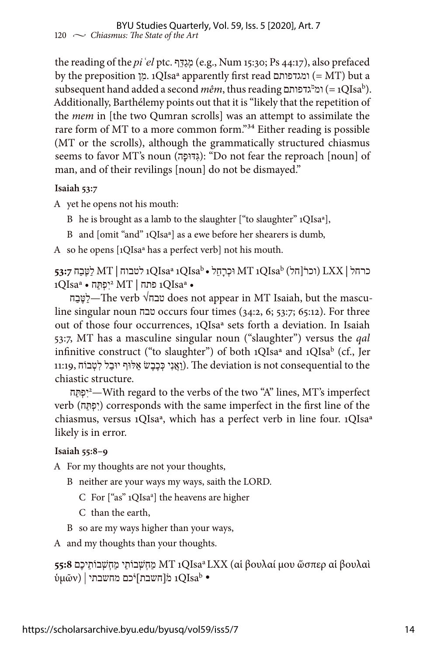the reading of the *piʿel* ptc. ףֵדַּגְמ) e.g., Num 15:30; Ps 44:17), also prefaced by the preposition ןִמ. 1QIsaª apparently first read ומגדפותם=) MT) but a subsequent hand added a second *mêm*, thus reading ומ<sup>מ</sup>גדפותם (= 1QIsa<sup>b</sup>). Additionally, Barthélemy points out that it is "likely that the repetition of the *mem* in [the two Qumran scrolls] was an attempt to assimilate the rare form of MT to a more common form."34 Either reading is possible (MT or the scrolls), although the grammatically structured chiasmus seems to favor MT's noun (גְּדוּפָה): "Do not fear the reproach [noun] of man, and of their revilings [noun] do not be dismayed."

## **Isaiah 53:7**

A yet he opens not his mouth:

B he is brought as a lamb to the slaughter ["to slaughter" 1QIsaª],

B and [omit "and" 1QIsaª] as a ewe before her shearers is dumb,

A so he opens [1QIsaª has a perfect verb] not his mouth.

כרחל | LXX) וכר֯[חל) QIsab1 MT וּכְרָחֵל • QIsab1 QIsaª1 לטבוח | MT לַטֶּבַח **53:7**  $1 \text{QIsa}^{\text{a}}$  • יִפְתַּח •  $\text{MT} \mid \text{ATI}$  בתח $\text{QIsa}^{\text{a}}$ 

חַבֶטּלַ— The verb √טבח does not appear in MT Isaiah, but the masculine singular noun טבח occurs four times (34:2, 6; 53:7; 65:12). For three out of those four occurrences, 1QIsaª sets forth a deviation. In Isaiah 53:7, MT has a masculine singular noun ("slaughter") versus the *qal* infinitive construct ("to slaughter") of both 1QIsa<sup>a</sup> and 1QIsa<sup>b</sup> (cf., Jer נוּגְנִי כְּכֶבֶשׂ אֵלּוּף יוּבַל לִטְבוֹח (Ine deviation is not consequential to the chiastic structure.

<sup>2</sup>יִפְתַּח —With regard to the verbs of the two "A" lines, MT's imperfect verb (יִפְתָּה) corresponds with the same imperfect in the first line of the chiasmus, versus 1QIsaª, which has a perfect verb in line four. 1QIsaª likely is in error.

## **Isaiah 55:8–9**

A For my thoughts are not your thoughts,

- B neither are your ways my ways, saith the LORD.
	- C For ["as" 1QIsa<sup>a</sup>] the heavens are higher
	- C than the earth,
- B so are my ways higher than your ways,

A and my thoughts than your thoughts.

```
 βουλαὶ αἱ ὥσπερ μου βουλαί αἱ (LXX QIsaa1 MT מַחְשְׁבוֹתַי מַחְשְׁבוֹתֵיכֶם 55:8
י 1QIsab - מהשבתי | (ύμῶν)
```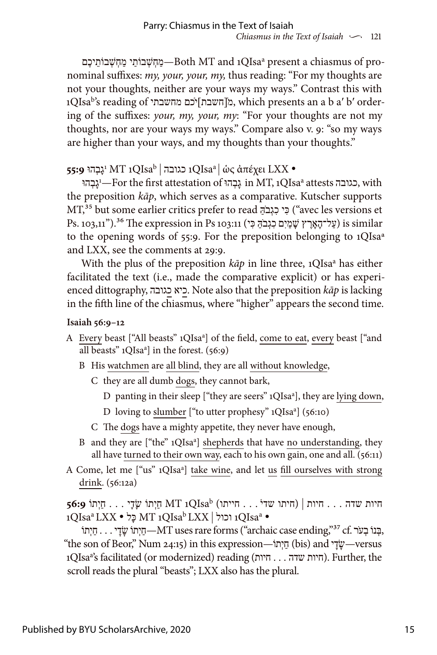מַחְשְׁבוֹתַי מַחְשְׁבוֹתֵיכֶם—Both MT and 1QIsaª present a chiasmus of pronominal suffixes: *my, your, your, my,* thus reading: "For my thoughts are not your thoughts, neither are your ways my ways." Contrast this with  $1\mathrm{QIsa}^\mathrm{b}$ 's reading of מקחשבת $[$ כם מחשבתי $]$ מ, which presents an a b a $^\prime$  b $^\prime$  ordering of the suffixes: *your, my, your, my*: "For your thoughts are not my thoughts, nor are your ways my ways." Compare also v. 9: "so my ways are higher than your ways, and my thoughts than your thoughts."

<sup>1</sup>גָבְהוּ **55:9** MT 1QIsab | כגובה 1QIsaa | ὡς ἀπέχει LXX •

גְבְהוּ in MT, 1QIsa<sup>a</sup> attests כגובה, with the preposition *kāp*, which serves as a comparative. Kutscher supports MT,35 but some earlier critics prefer to read ַהֹּ בְגִכ יִכּ") avec les versions et  $P$ s. 103,11"). $^{36}$  The expression in Ps 103:11 (עֲל־הָאֲרֵץ שֲׁמַיִם כְגְבֹהֶ כִּי)  $\,$ is similar to the opening words of 55:9. For the preposition belonging to 1QIsaª and LXX, see the comments at 29:9.

With the plus of the preposition  $k\bar{a}p$  in line three, 1QIsa<sup>a</sup> has either facilitated the text (i.e., made the comparative explicit) or has experienced dittography, כגובה כיא. Note also that the preposition *kāp* is lacking in the fifth line of the chiasmus, where "higher" appears the second time.

### **Isaiah 56:9–12**

- A Every beast ["All beasts" 1QIsa<sup>a</sup>] of the field, come to eat, every beast ["and all beasts" 1QIsa<sup>a</sup>] in the forest. (56:9)
	- B His watchmen are all blind, they are all without knowledge,
		- C they are all dumb dogs, they cannot bark,
	- D panting in their sleep ["they are seers" 1QIsa<sup>a</sup>], they are lying down,
- D loving to slumber ["to utter prophesy" 1QIsa<sup>a</sup>] (56:10)
	- C The dogs have a mighty appetite, they never have enough,
	- B and they are ["the" 1QIsa<sup>a</sup>] shepherds that have no understanding, they all have turned to their own way, each to his own gain, one and all. (56:11)
- A Come, let me ["us" 1QIsa<sup>a</sup>] take wine, and let us fill ourselves with strong drink. (56:12a)

חיות שדה . . . חיות | (חיתו שדי֯ . . . חייתו) QIsab1 MT חַיְתוֹ שָׂדָי . . . חַיְתוֹ **56:9** 1QIsaa LXX • לָכּ MT 1QIsab LXX | וכול 1QIsaa •

 ּ,בְנוֹ בְע ֹר .cf 37",ending case archaic ("forms rare uses MT—חַיְתוֹ ׇׂשׇדי . . . חַיְתוֹ "the son of Beor," Num 24:15) in this expression—עְיָךָ (bis) and עָקִי $\psi$ —versus ות שדה . . . חיות (1QIsa<sup>a</sup>'s facilitated (or modernized) reading (חיות שדה . . . ה scroll reads the plural "beasts"; LXX also has the plural.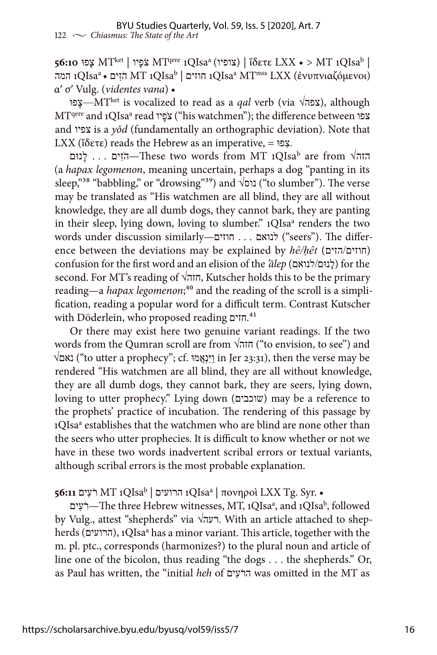**56:10** פוָּצ MTket | יוָפֹצ MTqere 1QIsaa (צופיו | (ἴδετε LXX • > MT 1QIsab | המה (ιQIsaª • הֹזִים MT ו-1QIsa<sup>a</sup> הוזים (IQIsa<sup>a</sup> המה τοι) המה α′ σ′ Vulg. (*videntes vana*) •

צפוּ—MT<sup>ket</sup> is vocalized to read as a *qal* verb (via √צפה), although  $\rm MT^{qere}$  and 1QIsaª read צפוֹ ("his watchmen"); the difference between צפו and צפיו is a *yôd* (fundamentally an orthographic deviation). Note that LXX (ἴδετε) reads the Hebrew as an imperative, = פוִּצ.

. . . לנוּם —These two words from MT 1QIsa<sup>b</sup> are from √הזה (a *hapax legomenon*, meaning uncertain, perhaps a dog "panting in its sleep,"38 "babbling," or "drowsing"39) and √נוס") to slumber"). The verse may be translated as "His watchmen are all blind, they are all without knowledge, they are all dumb dogs, they cannot bark, they are panting in their sleep, lying down, loving to slumber." 1QIsa<sup>a</sup> renders the two words under discussion similarly—לנואם . . . חוזים ("seers"). The difference between the deviations may be explained by *hê/hêt* (חוזים/הזים) confusion for the first word and an elision of the *'ālep* (לנוּם/לנואם) for the second. For MT's reading of √חזה, Kutscher holds this to be the primary reading—a *hapax legomenon*;<sup>40</sup> and the reading of the scroll is a simplification, reading a popular word for a difficult term. Contrast Kutscher with Döderlein, who proposed reading חזים.41

Or there may exist here two genuine variant readings. If the two words from the Qumran scroll are from  $\sqrt{n}$ חזה") ("to envision, to see") and √נאם") to utter a prophecy"; cf. מוֲּאְנִיַּו in Jer 23:31), then the verse may be rendered "His watchmen are all blind, they are all without knowledge, they are all dumb dogs, they cannot bark, they are seers, lying down, loving to utter prophecy." Lying down (שוכבים) may be a reference to the prophets' practice of incubation. The rendering of this passage by 1QIsa<sup>a</sup> establishes that the watchmen who are blind are none other than the seers who utter prophecies. It is difficult to know whether or not we have in these two words inadvertent scribal errors or textual variants, although scribal errors is the most probable explanation.

QIsaa1 הרועים | QIsab1 MT רֹעִים **56:11** | πονηροὶ LXX Tg. Syr. •

רֹעִים—The three Hebrew witnesses, MT, 1QIsaª, and 1QIsaʰ, followed by Vulg., attest "shepherds" via √רעה. With an article attached to shepherds (הרועים), 1QIsa<sup>a</sup> has a minor variant. This article, together with the m. pl. ptc., corresponds (harmonizes?) to the plural noun and article of line one of the bicolon, thus reading "the dogs . . . the shepherds." Or, as Paul has written, the "initial *heh* of יםִעֹהר was omitted in the MT as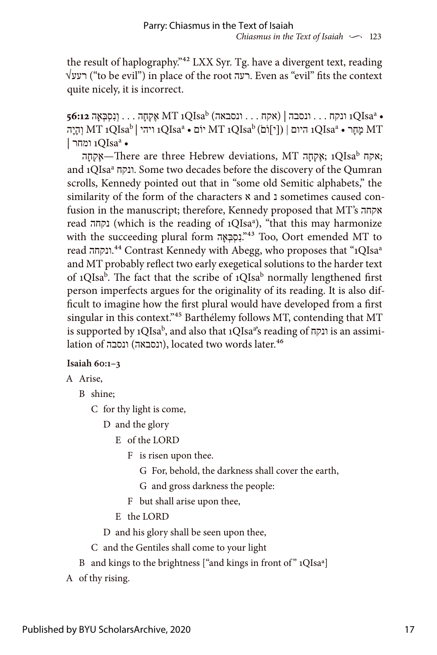the result of haplography."42 LXX Syr. Tg. have a divergent text, reading √רעע") to be evil") in place of the root רעה. Even as "evil" fits the context quite nicely, it is incorrect.

QIsaa1 ונקח . . . ונסבה | (אקח . . . ונסבאה) QIsab1 MT אֶקְחָה . . . וְנִסְבְּאָה **56:12** • ויהי |  $\rm{M}$ מְחָר •  $\rm{N}$ IQIsa $\rm{^{a}}$  וים •  $\rm{M}$  יוֹם •  $\rm{M}$ IQIsa $\rm{^{a}}$  ויהי  $\rm{M}$  וְהָיָה  $\rm{M}$ ן ומחר  $1QIsa^a$  •

אִקְחָה -There are three Hebrew deviations, MT ,אִקְחָה; 1QIsa<sup>b</sup>; and 1QIsaa ונקח. Some two decades before the discovery of the Qumran scrolls, Kennedy pointed out that in "some old Semitic alphabets," the similarity of the form of the characters  $\boldsymbol{\kappa}$  and  $\boldsymbol{\kappa}$  sometimes caused confusion in the manuscript; therefore, Kennedy proposed that MT's אקחה read נקחה) which is the reading of 1QIsaa ), "that this may harmonize with the succeeding plural form הָאְבְּסִנ."43 Too, Oort emended MT to read ונקחה.44 Contrast Kennedy with Abegg, who proposes that "1QIsaa and MT probably reflect two early exegetical solutions to the harder text of 1QIsa<sup>b</sup>. The fact that the scribe of 1QIsa<sup>b</sup> normally lengthened first person imperfects argues for the originality of its reading. It is also difficult to imagine how the first plural would have developed from a first singular in this context."45 Barthélemy follows MT, contending that MT is supported by 1QIsa<sup>b</sup>, and also that 1QIsa $^{\rm a}$ s reading of ונקה is an assimilation of ונסבאה), located two words later.<sup>46</sup>

#### **Isaiah 60:1–3**

#### A Arise,

B shine;

C for thy light is come,

D and the glory

E of the LORD

F is risen upon thee.

G For, behold, the darkness shall cover the earth,

G and gross darkness the people:

F but shall arise upon thee,

E the LORD

D and his glory shall be seen upon thee,

- C and the Gentiles shall come to your light
- B and kings to the brightness ["and kings in front of" 1QIsa<sup>a</sup>]

A of thy rising.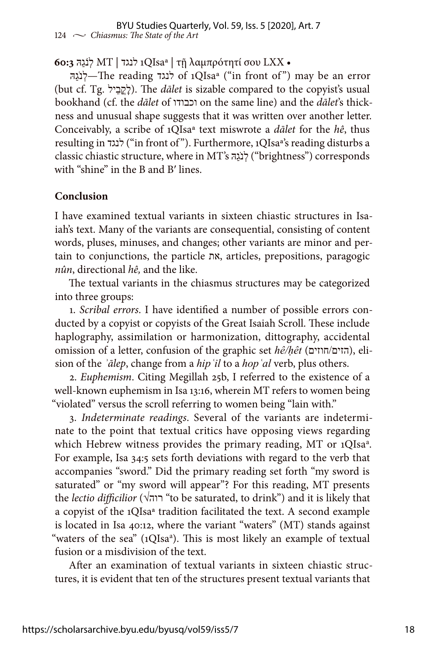## **60:3** הַּגֹנְל MT | לנגד 1QIsaª | τῇ λαμπρότητί σου LXX •

הַּגֹ נְל—The reading לנגד of 1QIsaª ("in front of ") may be an error (but cf. Tg. לְקֵבָיל). The *dalet* is sizable compared to the copyist's usual bookhand (cf. the *dālet* of וכבודו on the same line) and the *dālet*'s thickness and unusual shape suggests that it was written over another letter. Conceivably, a scribe of 1QIsaª text miswrote a *dālet* for the *hê*, thus resulting in לנגד") in front of "). Furthermore, 1QIsaª's reading disturbs a classic chiastic structure, where in MT's לְנֹגָה ("brightness") corresponds with "shine" in the B and B′ lines.

#### **Conclusion**

I have examined textual variants in sixteen chiastic structures in Isaiah's text. Many of the variants are consequential, consisting of content words, pluses, minuses, and changes; other variants are minor and pertain to conjunctions, the particle את, articles, prepositions, paragogic *nûn*, directional *hê,* and the like.

The textual variants in the chiasmus structures may be categorized into three groups:

1. *Scribal errors*. I have identified a number of possible errors conducted by a copyist or copyists of the Great Isaiah Scroll. These include haplography, assimilation or harmonization, dittography, accidental omission of a letter, confusion of the graphic set *hê/ḥêt* (חוזים/הזים(, elision of the *ʾālep*, change from a *hipʿil* to a *hopʿal* verb, plus others.

2. *Euphemism*. Citing Megillah 25b, I referred to the existence of a well-known euphemism in Isa 13:16, wherein MT refers to women being "violated" versus the scroll referring to women being "lain with."

3. *Indeterminate readings*. Several of the variants are indeterminate to the point that textual critics have opposing views regarding which Hebrew witness provides the primary reading, MT or 1QIsa<sup>a</sup>. For example, Isa 34:5 sets forth deviations with regard to the verb that accompanies "sword." Did the primary reading set forth "my sword is saturated" or "my sword will appear"? For this reading, MT presents the *lectio difficilior* (√רוה" to be saturated, to drink") and it is likely that a copyist of the 1QIsaª tradition facilitated the text. A second example is located in Isa 40:12, where the variant "waters" (MT) stands against "waters of the sea" (1QIsa<sup>a</sup>). This is most likely an example of textual fusion or a misdivision of the text.

After an examination of textual variants in sixteen chiastic structures, it is evident that ten of the structures present textual variants that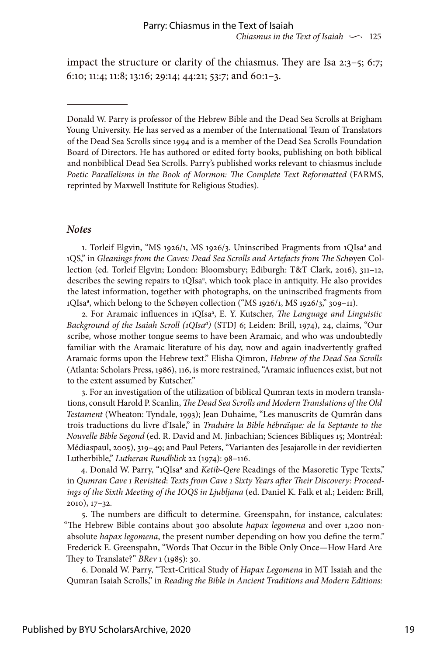impact the structure or clarity of the chiasmus. They are Isa 2:3–5; 6:7; 6:10; 11:4; 11:8; 13:16; 29:14; 44:21; 53:7; and 60:1–3.

#### *Notes*

1. Torleif Elgvin, "MS 1926/1, MS 1926/3. Uninscribed Fragments from 1QIsaa and 1QS," in *Gleanings from the Caves: Dead Sea Scrolls and Artefacts from The Sch*øyen Collection (ed. Torleif Elgvin; London: Bloomsbury; Ediburgh: T&T Clark, 2016), 311–12, describes the sewing repairs to 1QIsa<sup>a</sup>, which took place in antiquity. He also provides the latest information, together with photographs, on the uninscribed fragments from 1QIsa<sup>a</sup>, which belong to the Schøyen collection ("MS 1926/1, MS 1926/3," 309-11).

2. For Aramaic influences in 1QIsa<sup>a</sup>, E. Y. Kutscher, *The Language and Linguistic* Background of the Isaiah Scroll (1QIsa<sup>a</sup>) (STDJ 6; Leiden: Brill, 1974), 24, claims, "Our scribe, whose mother tongue seems to have been Aramaic, and who was undoubtedly familiar with the Aramaic literature of his day, now and again inadvertently grafted Aramaic forms upon the Hebrew text." Elisha Qimron, *Hebrew of the Dead Sea Scrolls* (Atlanta: Scholars Press, 1986), 116, is more restrained, "Aramaic influences exist, but not to the extent assumed by Kutscher."

3. For an investigation of the utilization of biblical Qumran texts in modern translations, consult Harold P. Scanlin, *The Dead Sea Scrolls and Modern Translations of the Old Testament* (Wheaton: Tyndale, 1993); Jean Duhaime, "Les manuscrits de Qumrân dans trois traductions du livre d'Isale," in *Traduire la Bible hébraïque: de la Septante to the Nouvelle Bible Segond* (ed. R. David and M. Jinbachian; Sciences Bibliques 15; Montréal: Médiaspaul, 2005), 319–49; and Paul Peters, "Varianten des Jesajarolle in der revidierten Lutherbible," *Lutheran Rundblick* 22 (1974): 98–116.

4. Donald W. Parry, "1QIsa<sup>a</sup> and *Ketib-Qere* Readings of the Masoretic Type Texts," in *Qumran Cave 1 Revisited*: *Texts from Cave 1 Sixty Years after Their Discovery: Proceedings of the Sixth Meeting of the IOQS in Ljubljana* (ed. Daniel K. Falk et al.; Leiden: Brill, 2010), 17–32.

5. The numbers are difficult to determine. Greenspahn, for instance, calculates: "The Hebrew Bible contains about 300 absolute *hapax legomena* and over 1,200 nonabsolute *hapax legomena*, the present number depending on how you define the term." Frederick E. Greenspahn, "Words That Occur in the Bible Only Once—How Hard Are They to Translate?" *BRev* 1 (1985): 30.

6. Donald W. Parry, "Text-Critical Study of *Hapax Legomena* in MT Isaiah and the Qumran Isaiah Scrolls," in *Reading the Bible in Ancient Traditions and Modern Editions:* 

Donald W. Parry is professor of the Hebrew Bible and the Dead Sea Scrolls at Brigham Young University. He has served as a member of the International Team of Translators of the Dead Sea Scrolls since 1994 and is a member of the Dead Sea Scrolls Foundation Board of Directors. He has authored or edited forty books, publishing on both biblical and nonbiblical Dead Sea Scrolls. Parry's published works relevant to chiasmus include *Poetic Parallelisms in the Book of Mormon: The Complete Text Reformatted* (FARMS, reprinted by Maxwell Institute for Religious Studies).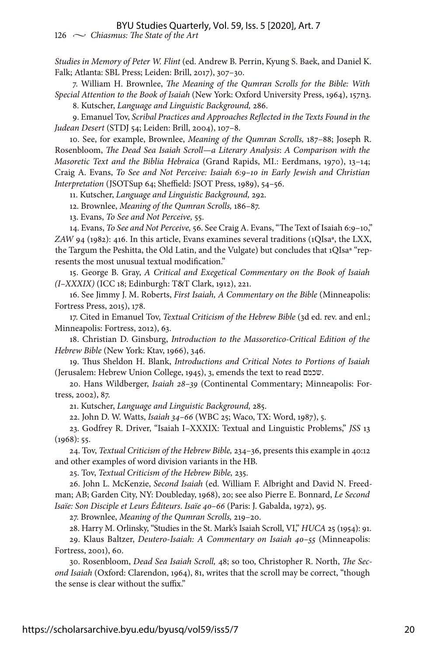### BYU Studies Quarterly, Vol. 59, Iss. 5 [2020], Art. 7

126  $\sim$  *Chiasmus: The State of the Art* 

*Studies in Memory of Peter W. Flint* (ed. Andrew B. Perrin, Kyung S. Baek, and Daniel K. Falk; Atlanta: SBL Press; Leiden: Brill, 2017), 307–30.

7. William H. Brownlee, *The Meaning of the Qumran Scrolls for the Bible: With Special Attention to the Book of Isaiah* (New York: Oxford University Press, 1964), 157n3.

8. Kutscher, *Language and Linguistic Background,* 286.

9. Emanuel Tov, *Scribal Practices and Approaches Reflected in the Texts Found in the Judean Desert* (STDJ 54; Leiden: Brill, 2004), 107–8.

10. See, for example, Brownlee, *Meaning of the Qumran Scrolls,* 187–88; Joseph R. Rosenbloom, *The Dead Sea Isaiah Scroll—a Literary Analysis*: *A Comparison with the Masoretic Text and the Biblia Hebraica* (Grand Rapids, MI.: Eerdmans, 1970), 13–14; Craig A. Evans, *To See and Not Perceive: Isaiah 6:9–10 in Early Jewish and Christian Interpretation* (JSOTSup 64; Sheffield: JSOT Press, 1989), 54–56.

11. Kutscher, *Language and Linguistic Background,* 292.

12. Brownlee, *Meaning of the Qumran Scrolls,* 186–87.

13. Evans, *To See and Not Perceive,* 55.

14. Evans, *To See and Not Perceive,* 56. See Craig A. Evans, "The Text of Isaiah 6:9–10," *ZAW* 94 (1982): 416. In this article, Evans examines several traditions (1QIsaª, the LXX, the Targum the Peshitta, the Old Latin, and the Vulgate) but concludes that 1QIsa<sup>a</sup> "represents the most unusual textual modification."

15. George B. Gray, *A Critical and Exegetical Commentary on the Book of Isaiah (I–XXXIX)* (ICC 18; Edinburgh: T&T Clark, 1912), 221.

16. See Jimmy J. M. Roberts, *First Isaiah, A Commentary on the Bible* (Minneapolis: Fortress Press, 2015), 178.

17. Cited in Emanuel Tov, *Textual Criticism of the Hebrew Bible* (3d ed. rev. and enl.; Minneapolis: Fortress, 2012), 63.

18. Christian D. Ginsburg, *Introduction to the Massoretico-Critical Edition of the Hebrew Bible* (New York: Ktav, 1966), 346.

19. Thus Sheldon H. Blank, *Introductions and Critical Notes to Portions of Isaiah* (Jerusalem: Hebrew Union College, 1945), 3, emends the text to read שכמם.

20. Hans Wildberger, *Isaiah 28–39* (Continental Commentary; Minneapolis: Fortress, 2002), 87.

21. Kutscher, *Language and Linguistic Background,* 285.

22. John D. W. Watts, *Isaiah 34–66* (WBC 25; Waco, TX: Word, 1987), 5.

23. Godfrey R. Driver, "Isaiah I–XXXIX: Textual and Linguistic Problems," *JSS* 13  $(1968): 55.$ 

24. Tov, *Textual Criticism of the Hebrew Bible,* 234–36, presents this example in 40:12 and other examples of word division variants in the HB.

25. Tov, *Textual Criticism of the Hebrew Bible,* 235.

26. John L. McKenzie, *Second Isaiah* (ed. William F. Albright and David N. Freedman; AB; Garden City, NY: Doubleday, 1968), 20; see also Pierre E. Bonnard, *Le Second Isaïe: Son Disciple et Leurs Éditeurs*. *Isaïe 40–66* (Paris: J. Gabalda, 1972), 95.

27. Brownlee, *Meaning of the Qumran Scrolls,* 219–20.

28. Harry M. Orlinsky, "Studies in the St. Mark's Isaiah Scroll, VI," *HUCA* 25 (1954): 91.

29. Klaus Baltzer, *Deutero-Isaiah: A Commentary on Isaiah 40–55* (Minneapolis: Fortress, 2001), 60.

30. Rosenbloom, *Dead Sea Isaiah Scroll,* 48; so too, Christopher R. North, *The Second Isaiah* (Oxford: Clarendon, 1964), 81, writes that the scroll may be correct, "though the sense is clear without the suffix."